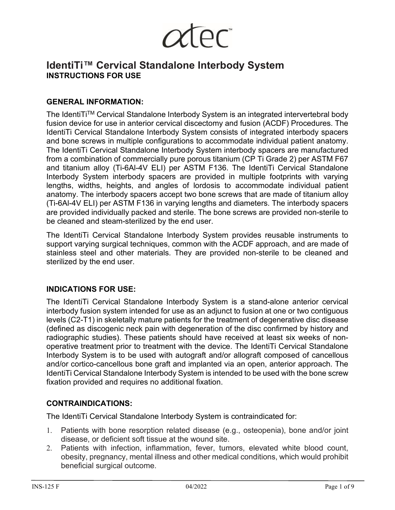

# **IdentiTi™ Cervical Standalone Interbody System INSTRUCTIONS FOR USE**

# **GENERAL INFORMATION:**

The IdentiTi™ Cervical Standalone Interbody System is an integrated intervertebral body fusion device for use in anterior cervical discectomy and fusion (ACDF) Procedures. The IdentiTi Cervical Standalone Interbody System consists of integrated interbody spacers and bone screws in multiple configurations to accommodate individual patient anatomy. The IdentiTi Cervical Standalone Interbody System interbody spacers are manufactured from a combination of commercially pure porous titanium (CP Ti Grade 2) per ASTM F67 and titanium alloy (Ti-6Al-4V ELI) per ASTM F136. The IdentiTi Cervical Standalone Interbody System interbody spacers are provided in multiple footprints with varying lengths, widths, heights, and angles of lordosis to accommodate individual patient anatomy. The interbody spacers accept two bone screws that are made of titanium alloy (Ti-6Al-4V ELI) per ASTM F136 in varying lengths and diameters. The interbody spacers are provided individually packed and sterile. The bone screws are provided non-sterile to be cleaned and steam-sterilized by the end user.

The IdentiTi Cervical Standalone Interbody System provides reusable instruments to support varying surgical techniques, common with the ACDF approach, and are made of stainless steel and other materials. They are provided non-sterile to be cleaned and sterilized by the end user.

#### **INDICATIONS FOR USE:**

The IdentiTi Cervical Standalone Interbody System is a stand-alone anterior cervical interbody fusion system intended for use as an adjunct to fusion at one or two contiguous levels (C2-T1) in skeletally mature patients for the treatment of degenerative disc disease (defined as discogenic neck pain with degeneration of the disc confirmed by history and radiographic studies). These patients should have received at least six weeks of nonoperative treatment prior to treatment with the device. The IdentiTi Cervical Standalone Interbody System is to be used with autograft and/or allograft composed of cancellous and/or cortico-cancellous bone graft and implanted via an open, anterior approach. The IdentiTi Cervical Standalone Interbody System is intended to be used with the bone screw fixation provided and requires no additional fixation.

#### **CONTRAINDICATIONS:**

The IdentiTi Cervical Standalone Interbody System is contraindicated for:

- 1. Patients with bone resorption related disease (e.g., osteopenia), bone and/or joint disease, or deficient soft tissue at the wound site.
- 2. Patients with infection, inflammation, fever, tumors, elevated white blood count, obesity, pregnancy, mental illness and other medical conditions, which would prohibit beneficial surgical outcome.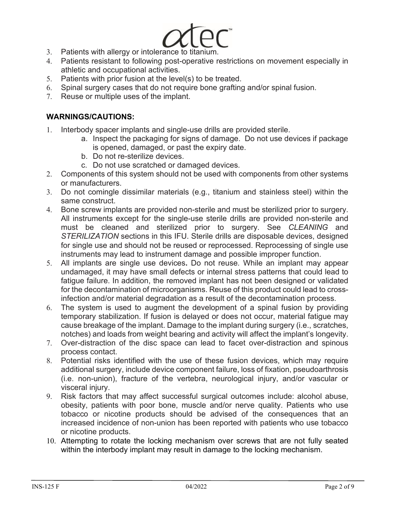- 
- 3. Patients with allergy or intolerance to titanium.
- 4. Patients resistant to following post-operative restrictions on movement especially in athletic and occupational activities.
- 5. Patients with prior fusion at the level(s) to be treated.
- 6. Spinal surgery cases that do not require bone grafting and/or spinal fusion.
- 7. Reuse or multiple uses of the implant.

# **WARNINGS/CAUTIONS:**

- 1. Interbody spacer implants and single-use drills are provided sterile.
	- a. Inspect the packaging for signs of damage. Do not use devices if package is opened, damaged, or past the expiry date.
	- b. Do not re-sterilize devices.
	- c. Do not use scratched or damaged devices.
- 2. Components of this system should not be used with components from other systems or manufacturers.
- 3. Do not comingle dissimilar materials (e.g., titanium and stainless steel) within the same construct.
- 4. Bone screw implants are provided non-sterile and must be sterilized prior to surgery. All instruments except for the single-use sterile drills are provided non-sterile and must be cleaned and sterilized prior to surgery. See *CLEANING* and *STERILIZATION* sections in this IFU. Sterile drills are disposable devices, designed for single use and should not be reused or reprocessed. Reprocessing of single use instruments may lead to instrument damage and possible improper function.
- 5. All implants are single use devices**.** Do not reuse*.* While an implant may appear undamaged, it may have small defects or internal stress patterns that could lead to fatigue failure. In addition, the removed implant has not been designed or validated for the decontamination of microorganisms. Reuse of this product could lead to crossinfection and/or material degradation as a result of the decontamination process.
- 6. The system is used to augment the development of a spinal fusion by providing temporary stabilization. If fusion is delayed or does not occur, material fatigue may cause breakage of the implant. Damage to the implant during surgery (i.e., scratches, notches) and loads from weight bearing and activity will affect the implant's longevity.
- 7. Over-distraction of the disc space can lead to facet over-distraction and spinous process contact.
- 8. Potential risks identified with the use of these fusion devices, which may require additional surgery, include device component failure, loss of fixation, pseudoarthrosis (i.e. non-union), fracture of the vertebra, neurological injury, and/or vascular or visceral injury.
- 9. Risk factors that may affect successful surgical outcomes include: alcohol abuse, obesity, patients with poor bone, muscle and/or nerve quality. Patients who use tobacco or nicotine products should be advised of the consequences that an increased incidence of non-union has been reported with patients who use tobacco or nicotine products.
- 10. Attempting to rotate the locking mechanism over screws that are not fully seated within the interbody implant may result in damage to the locking mechanism.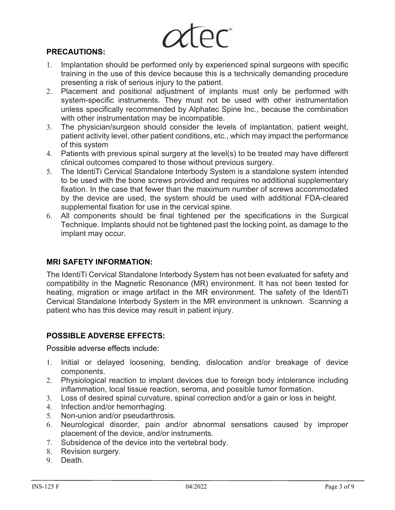#### **PRECAUTIONS:**

- 1. Implantation should be performed only by experienced spinal surgeons with specific training in the use of this device because this is a technically demanding procedure presenting a risk of serious injury to the patient.
- 2. Placement and positional adjustment of implants must only be performed with system-specific instruments. They must not be used with other instrumentation unless specifically recommended by Alphatec Spine Inc., because the combination with other instrumentation may be incompatible.
- 3. The physician/surgeon should consider the levels of implantation, patient weight, patient activity level, other patient conditions, etc., which may impact the performance of this system
- 4. Patients with previous spinal surgery at the level(s) to be treated may have different clinical outcomes compared to those without previous surgery.
- 5. The IdentiTi Cervical Standalone Interbody System is a standalone system intended to be used with the bone screws provided and requires no additional supplementary fixation. In the case that fewer than the maximum number of screws accommodated by the device are used, the system should be used with additional FDA-cleared supplemental fixation for use in the cervical spine.
- 6. All components should be final tightened per the specifications in the Surgical Technique. Implants should not be tightened past the locking point, as damage to the implant may occur.

#### **MRI SAFETY INFORMATION:**

The IdentiTi Cervical Standalone Interbody System has not been evaluated for safety and compatibility in the Magnetic Resonance (MR) environment. It has not been tested for heating, migration or image artifact in the MR environment. The safety of the IdentiTi Cervical Standalone Interbody System in the MR environment is unknown. Scanning a patient who has this device may result in patient injury.

#### **POSSIBLE ADVERSE EFFECTS:**

Possible adverse effects include:

- 1. Initial or delayed loosening, bending, dislocation and/or breakage of device components.
- 2. Physiological reaction to implant devices due to foreign body intolerance including inflammation, local tissue reaction, seroma, and possible tumor formation.
- 3. Loss of desired spinal curvature, spinal correction and/or a gain or loss in height.
- 4. Infection and/or hemorrhaging.
- 5. Non-union and/or pseudarthrosis.
- 6. Neurological disorder, pain and/or abnormal sensations caused by improper placement of the device, and/or instruments.
- 7. Subsidence of the device into the vertebral body.
- 8. Revision surgery.
- 9. Death.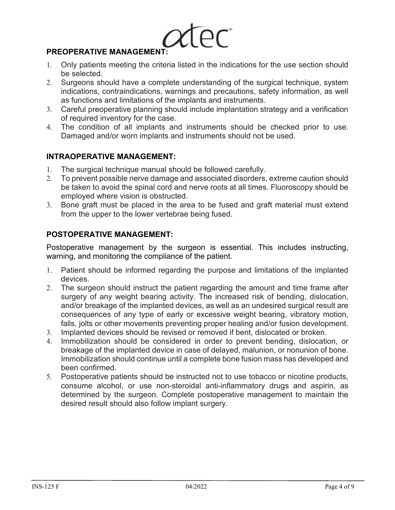

# **PREOPERATIVE MANAGEMENT:**

- 1. Only patients meeting the criteria listed in the indications for the use section should be selected.
- 2. Surgeons should have a complete understanding of the surgical technique, system indications, contraindications, warnings and precautions, safety information, as well as functions and limitations of the implants and instruments.
- 3. Careful preoperative planning should include implantation strategy and a verification of required inventory for the case.
- 4. The condition of all implants and instruments should be checked prior to use. Damaged and/or worn implants and instruments should not be used.

# **INTRAOPERATIVE MANAGEMENT:**

- 1. The surgical technique manual should be followed carefully.
- 2. To prevent possible nerve damage and associated disorders, extreme caution should be taken to avoid the spinal cord and nerve roots at all times. Fluoroscopy should be employed where vision is obstructed.
- 3. Bone graft must be placed in the area to be fused and graft material must extend from the upper to the lower vertebrae being fused.

### **POSTOPERATIVE MANAGEMENT:**

Postoperative management by the surgeon is essential. This includes instructing, warning, and monitoring the compliance of the patient.

- 1. Patient should be informed regarding the purpose and limitations of the implanted devices.
- 2. The surgeon should instruct the patient regarding the amount and time frame after surgery of any weight bearing activity. The increased risk of bending, dislocation, and/or breakage of the implanted devices, as well as an undesired surgical result are consequences of any type of early or excessive weight bearing, vibratory motion, falls, jolts or other movements preventing proper healing and/or fusion development.
- 3. Implanted devices should be revised or removed if bent, dislocated or broken.
- 4. Immobilization should be considered in order to prevent bending, dislocation, or breakage of the implanted device in case of delayed, malunion, or nonunion of bone. Immobilization should continue until a complete bone fusion mass has developed and been confirmed.
- 5. Postoperative patients should be instructed not to use tobacco or nicotine products, consume alcohol, or use non-steroidal anti-inflammatory drugs and aspirin, as determined by the surgeon. Complete postoperative management to maintain the desired result should also follow implant surgery.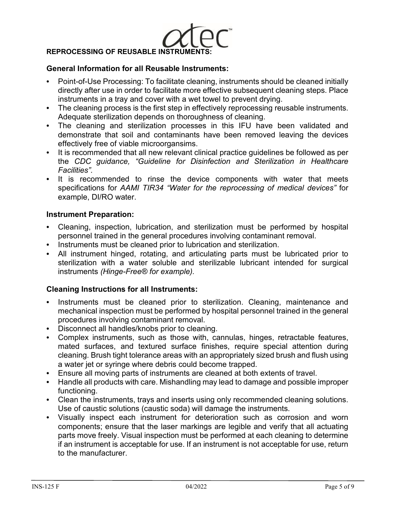

#### **General Information for all Reusable Instruments:**

- **•** Point-of-Use Processing: To facilitate cleaning, instruments should be cleaned initially directly after use in order to facilitate more effective subsequent cleaning steps. Place instruments in a tray and cover with a wet towel to prevent drying.
- **•** The cleaning process is the first step in effectively reprocessing reusable instruments. Adequate sterilization depends on thoroughness of cleaning.
- **•** The cleaning and sterilization processes in this IFU have been validated and demonstrate that soil and contaminants have been removed leaving the devices effectively free of viable microorgansims.
- **•** It is recommended that all new relevant clinical practice guidelines be followed as per the *CDC guidance, "Guideline for Disinfection and Sterilization in Healthcare Facilities".*
- **•** It is recommended to rinse the device components with water that meets specifications for *AAMI TIR34 "Water for the reprocessing of medical devices"* for example, DI/RO water.

#### **Instrument Preparation:**

- **•** Cleaning, inspection, lubrication, and sterilization must be performed by hospital personnel trained in the general procedures involving contaminant removal.
- **•** Instruments must be cleaned prior to lubrication and sterilization.
- **•** All instrument hinged, rotating, and articulating parts must be lubricated prior to sterilization with a water soluble and sterilizable lubricant intended for surgical instruments *(Hinge-Free® for example).*

#### **Cleaning Instructions for all Instruments:**

- **•** Instruments must be cleaned prior to sterilization. Cleaning, maintenance and mechanical inspection must be performed by hospital personnel trained in the general procedures involving contaminant removal.
- **•** Disconnect all handles/knobs prior to cleaning.
- **•** Complex instruments, such as those with, cannulas, hinges, retractable features, mated surfaces, and textured surface finishes, require special attention during cleaning. Brush tight tolerance areas with an appropriately sized brush and flush using a water jet or syringe where debris could become trapped.
- **•** Ensure all moving parts of instruments are cleaned at both extents of travel.
- **•** Handle all products with care. Mishandling may lead to damage and possible improper functioning.
- **•** Clean the instruments, trays and inserts using only recommended cleaning solutions. Use of caustic solutions (caustic soda) will damage the instruments.
- **•** Visually inspect each instrument for deterioration such as corrosion and worn components; ensure that the laser markings are legible and verify that all actuating parts move freely. Visual inspection must be performed at each cleaning to determine if an instrument is acceptable for use. If an instrument is not acceptable for use, return to the manufacturer.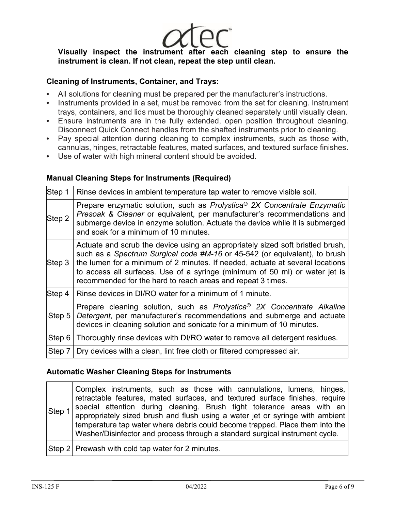**Visually inspect the instrument after each cleaning step to ensure the instrument is clean. If not clean, repeat the step until clean.**

### **Cleaning of Instruments, Container, and Trays:**

- **•** All solutions for cleaning must be prepared per the manufacturer's instructions.
- **•** Instruments provided in a set, must be removed from the set for cleaning. Instrument trays, containers, and lids must be thoroughly cleaned separately until visually clean.
- **•** Ensure instruments are in the fully extended, open position throughout cleaning. Disconnect Quick Connect handles from the shafted instruments prior to cleaning.
- **•** Pay special attention during cleaning to complex instruments, such as those with, cannulas, hinges, retractable features, mated surfaces, and textured surface finishes.
- **•** Use of water with high mineral content should be avoided.

#### **Manual Cleaning Steps for Instruments (Required)**

| Step 1   | Rinse devices in ambient temperature tap water to remove visible soil.                                                                                                                                                                                                                                                                                                                      |
|----------|---------------------------------------------------------------------------------------------------------------------------------------------------------------------------------------------------------------------------------------------------------------------------------------------------------------------------------------------------------------------------------------------|
| Step 2   | Prepare enzymatic solution, such as Prolystica <sup>®</sup> 2X Concentrate Enzymatic<br>Presoak & Cleaner or equivalent, per manufacturer's recommendations and<br>submerge device in enzyme solution. Actuate the device while it is submerged<br>and soak for a minimum of 10 minutes.                                                                                                    |
| Step 3   | Actuate and scrub the device using an appropriately sized soft bristled brush,<br>such as a Spectrum Surgical code #M-16 or 45-542 (or equivalent), to brush<br>the lumen for a minimum of 2 minutes. If needed, actuate at several locations<br>to access all surfaces. Use of a syringe (minimum of 50 ml) or water jet is<br>recommended for the hard to reach areas and repeat 3 times. |
| Step 4   | Rinse devices in DI/RO water for a minimum of 1 minute.                                                                                                                                                                                                                                                                                                                                     |
| Step $5$ | Prepare cleaning solution, such as Prolystica <sup>®</sup> 2X Concentrate Alkaline<br>Detergent, per manufacturer's recommendations and submerge and actuate<br>devices in cleaning solution and sonicate for a minimum of 10 minutes.                                                                                                                                                      |
| Step 6   | Thoroughly rinse devices with DI/RO water to remove all detergent residues.                                                                                                                                                                                                                                                                                                                 |
| Step 7   | Dry devices with a clean, lint free cloth or filtered compressed air.                                                                                                                                                                                                                                                                                                                       |

#### **Automatic Washer Cleaning Steps for Instruments**

| Step 1 | Complex instruments, such as those with cannulations, lumens, hinges,<br>retractable features, mated surfaces, and textured surface finishes, require<br>special attention during cleaning. Brush tight tolerance areas with an<br>appropriately sized brush and flush using a water jet or syringe with ambient<br>temperature tap water where debris could become trapped. Place them into the<br>Washer/Disinfector and process through a standard surgical instrument cycle. |
|--------|----------------------------------------------------------------------------------------------------------------------------------------------------------------------------------------------------------------------------------------------------------------------------------------------------------------------------------------------------------------------------------------------------------------------------------------------------------------------------------|
|        | Step 2 Prewash with cold tap water for 2 minutes.                                                                                                                                                                                                                                                                                                                                                                                                                                |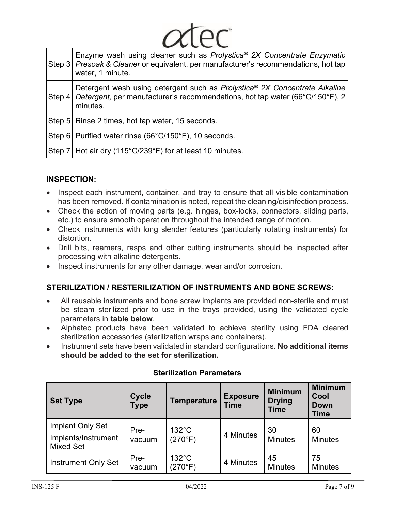|  | Enzyme wash using cleaner such as Prolystica <sup>®</sup> 2X Concentrate Enzymatic<br>Step 3 Presoak & Cleaner or equivalent, per manufacturer's recommendations, hot tap<br>water, 1 minute.     |  |  |  |  |  |
|--|---------------------------------------------------------------------------------------------------------------------------------------------------------------------------------------------------|--|--|--|--|--|
|  | Detergent wash using detergent such as Prolystica® 2X Concentrate Alkaline<br>Step 4 Detergent, per manufacturer's recommendations, hot tap water (66 $\degree$ C/150 $\degree$ F), 2<br>minutes. |  |  |  |  |  |
|  | Step 5   Rinse 2 times, hot tap water, 15 seconds.                                                                                                                                                |  |  |  |  |  |
|  | Step 6 Purified water rinse (66°C/150°F), 10 seconds.                                                                                                                                             |  |  |  |  |  |
|  | Step 7 Hot air dry (115°C/239°F) for at least 10 minutes.                                                                                                                                         |  |  |  |  |  |

 $\sim$   $\sim$   $\sim$ 

# **INSPECTION:**

- Inspect each instrument, container, and tray to ensure that all visible contamination has been removed. If contamination is noted, repeat the cleaning/disinfection process.
- Check the action of moving parts (e.g. hinges, box-locks, connectors, sliding parts, etc.) to ensure smooth operation throughout the intended range of motion.
- Check instruments with long slender features (particularly rotating instruments) for distortion.
- Drill bits, reamers, rasps and other cutting instruments should be inspected after processing with alkaline detergents.
- Inspect instruments for any other damage, wear and/or corrosion.

# **STERILIZATION / RESTERILIZATION OF INSTRUMENTS AND BONE SCREWS:**

- All reusable instruments and bone screw implants are provided non-sterile and must be steam sterilized prior to use in the trays provided, using the validated cycle parameters in **table below**.
- Alphatec products have been validated to achieve sterility using FDA cleared sterilization accessories (sterilization wraps and containers).
- Instrument sets have been validated in standard configurations. **No additional items should be added to the set for sterilization.**

| <b>Set Type</b>                         | <b>Cycle</b><br><b>Type</b> | <b>Temperature</b>         | <b>Exposure</b><br><b>Time</b> | <b>Minimum</b><br><b>Drying</b><br><b>Time</b> | <b>Minimum</b><br>Cool<br><b>Down</b><br><b>Time</b> |
|-----------------------------------------|-----------------------------|----------------------------|--------------------------------|------------------------------------------------|------------------------------------------------------|
| Implant Only Set<br>Implants/Instrument | Pre-<br>vacuum              | $132^{\circ}$ C<br>(270°F) | 4 Minutes                      | 30<br><b>Minutes</b>                           | 60<br><b>Minutes</b>                                 |
| <b>Mixed Set</b>                        |                             |                            |                                |                                                |                                                      |
| <b>Instrument Only Set</b>              | Pre-<br>vacuum              | $132^{\circ}$ C<br>(270°F) | 4 Minutes                      | 45<br><b>Minutes</b>                           | 75<br><b>Minutes</b>                                 |

#### **Sterilization Parameters**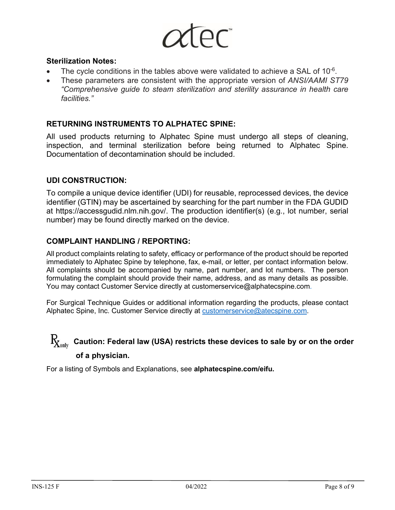#### **Sterilization Notes:**

- The cycle conditions in the tables above were validated to achieve a SAL of  $10^{-6}$ .
- These parameters are consistent with the appropriate version of *ANSI/AAMI ST79 "Comprehensive guide to steam sterilization and sterility assurance in health care facilities."*

#### **RETURNING INSTRUMENTS TO ALPHATEC SPINE:**

All used products returning to Alphatec Spine must undergo all steps of cleaning, inspection, and terminal sterilization before being returned to Alphatec Spine. Documentation of decontamination should be included.

#### **UDI CONSTRUCTION:**

To compile a unique device identifier (UDI) for reusable, reprocessed devices, the device identifier (GTIN) may be ascertained by searching for the part number in the FDA GUDID at [https://accessgudid.nlm.nih.gov/.](https://accessgudid.nlm.nih.gov/) The production identifier(s) (e.g., lot number, serial number) may be found directly marked on the device.

#### **COMPLAINT HANDLING / REPORTING:**

All product complaints relating to safety, efficacy or performance of the product should be reported immediately to Alphatec Spine by telephone, fax, e-mail, or letter, per contact information below. All complaints should be accompanied by name, part number, and lot numbers. The person formulating the complaint should provide their name, address, and as many details as possible. You may contact Customer Service directly at customerservice@alphatecspine.com.

For Surgical Technique Guides or additional information regarding the products, please contact Alphatec Spine, Inc. Customer Service directly at [customerservice@atecspine.com.](mailto:customerservice@atecspine.com)

#### $\rm R_{X_{\rm only}}$ **Caution: Federal law (USA) restricts these devices to sale by or on the order of a physician.**

For a listing of Symbols and Explanations, see **alphatecspine.com/eifu.**